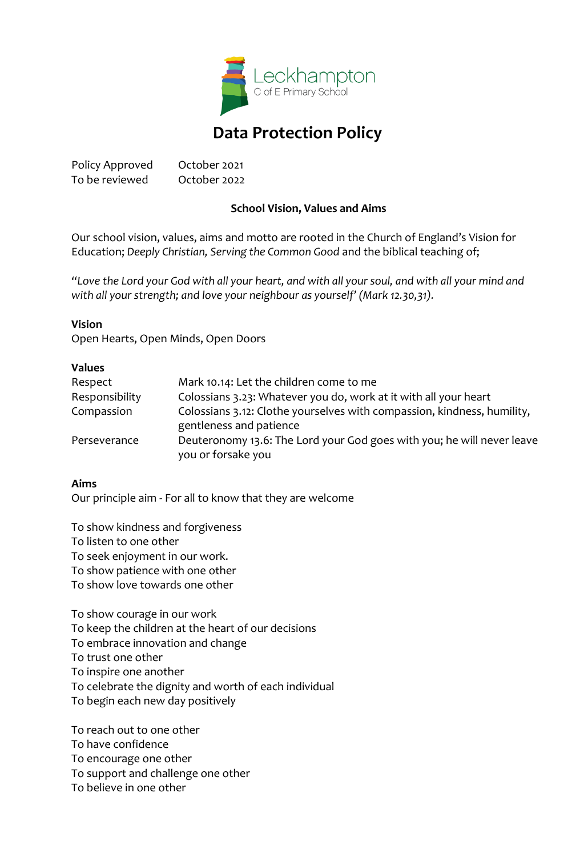

# **Data Protection Policy**

Policy Approved October 2021 To be reviewed October 2022

#### **School Vision, Values and Aims**

Our school vision, values, aims and motto are rooted in the Church of England's Vision for Education; *Deeply Christian, Serving the Common Good* and the biblical teaching of;

*"Love the Lord your God with all your heart, and with all your soul, and with all your mind and with all your strength; and love your neighbour as yourself' (Mark 12.30,31).*

#### **Vision**

Open Hearts, Open Minds, Open Doors

#### **Values**

| Respect        | Mark 10.14: Let the children come to me                                                            |
|----------------|----------------------------------------------------------------------------------------------------|
| Responsibility | Colossians 3.23: Whatever you do, work at it with all your heart                                   |
| Compassion     | Colossians 3.12: Clothe yourselves with compassion, kindness, humility,<br>gentleness and patience |
| Perseverance   | Deuteronomy 13.6: The Lord your God goes with you; he will never leave<br>you or forsake you       |
|                |                                                                                                    |

#### **Aims**

Our principle aim - For all to know that they are welcome

To show kindness and forgiveness To listen to one other To seek enjoyment in our work. To show patience with one other To show love towards one other

To show courage in our work To keep the children at the heart of our decisions To embrace innovation and change To trust one other To inspire one another To celebrate the dignity and worth of each individual To begin each new day positively

To reach out to one other To have confidence To encourage one other To support and challenge one other To believe in one other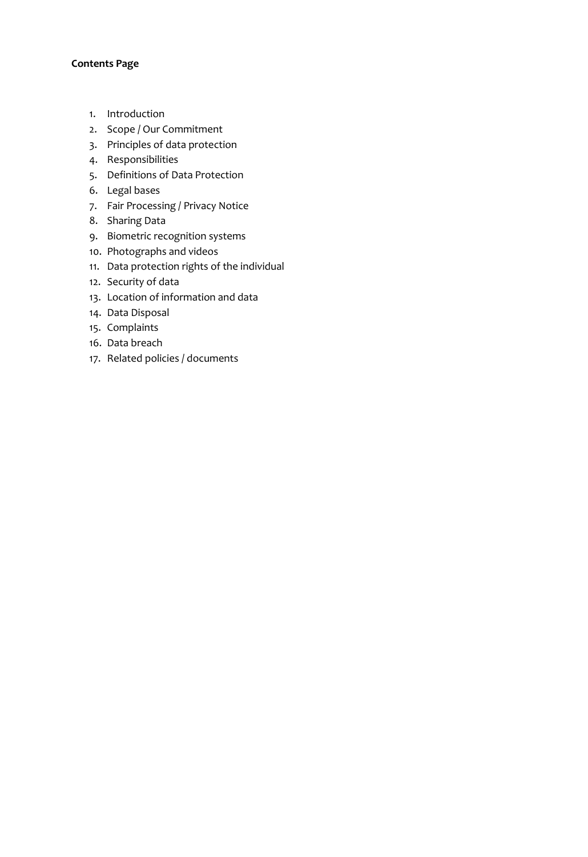#### **Contents Page**

- 1. Introduction
- 2. Scope / Our Commitment
- 3. Principles of data protection
- 4. Responsibilities
- 5. Definitions of Data Protection
- 6. Legal bases
- 7. Fair Processing / Privacy Notice
- 8. Sharing Data
- 9. Biometric recognition systems
- 10. Photographs and videos
- 11. Data protection rights of the individual
- 12. Security of data
- 13. Location of information and data
- 14. Data Disposal
- 15. Complaints
- 16. Data breach
- 17. Related policies / documents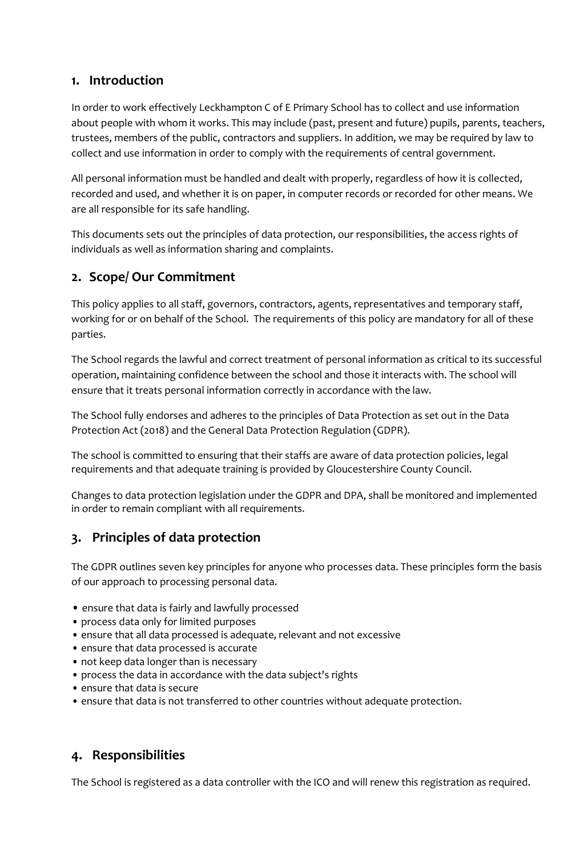### **1. Introduction**

In order to work effectively Leckhampton C of E Primary School has to collect and use information about people with whom it works. This may include (past, present and future) pupils, parents, teachers, trustees, members of the public, contractors and suppliers. In addition, we may be required by law to collect and use information in order to comply with the requirements of central government.

All personal information must be handled and dealt with properly, regardless of how it is collected, recorded and used, and whether it is on paper, in computer records or recorded for other means. We are all responsible for its safe handling.

This documents sets out the principles of data protection, our responsibilities, the access rights of individuals as well as information sharing and complaints.

### **2. Scope/ Our Commitment**

This policy applies to all staff, governors, contractors, agents, representatives and temporary staff, working for or on behalf of the School. The requirements of this policy are mandatory for all of these parties.

The School regards the lawful and correct treatment of personal information as critical to its successful operation, maintaining confidence between the school and those it interacts with. The school will ensure that it treats personal information correctly in accordance with the law.

The School fully endorses and adheres to the principles of Data Protection as set out in the Data Protection Act (2018) and the General Data Protection Regulation (GDPR).

The school is committed to ensuring that their staffs are aware of data protection policies, legal requirements and that adequate training is provided by Gloucestershire County Council.

Changes to data protection legislation under the GDPR and DPA, shall be monitored and implemented in order to remain compliant with all requirements.

### **3. Principles of data protection**

The GDPR outlines seven key principles for anyone who processes data. These principles form the basis of our approach to processing personal data.

- ensure that data is fairly and lawfully processed
- process data only for limited purposes
- ensure that all data processed is adequate, relevant and not excessive
- ensure that data processed is accurate
- not keep data longer than is necessary
- process the data in accordance with the data subject's rights
- ensure that data is secure
- ensure that data is not transferred to other countries without adequate protection.

### **4. Responsibilities**

The School is registered as a data controller with the ICO and will renew this registration as required.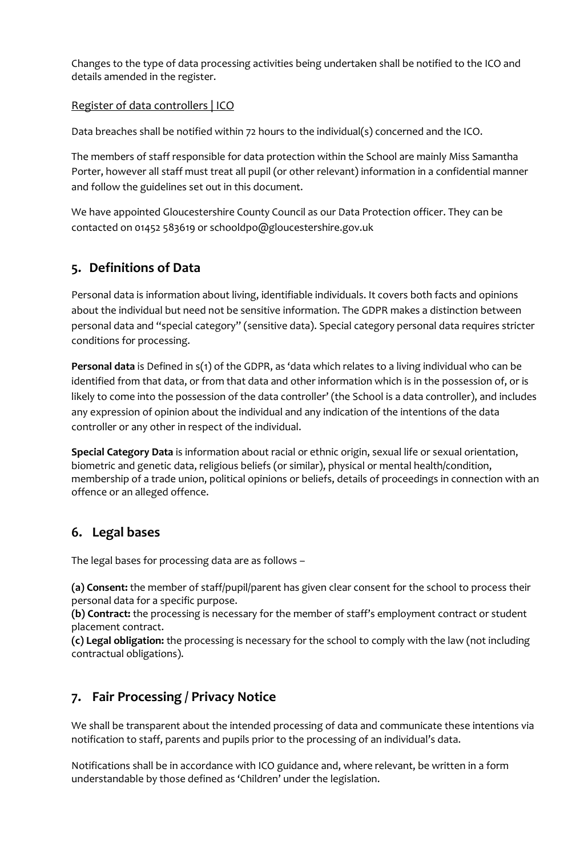Changes to the type of data processing activities being undertaken shall be notified to the ICO and details amended in the register.

#### [Register of data controllers | ICO](https://ico.org.uk/about-the-ico/what-we-do/register-of-data-controllers/)

Data breaches shall be notified within 72 hours to the individual(s) concerned and the ICO.

The members of staff responsible for data protection within the School are mainly Miss Samantha Porter, however all staff must treat all pupil (or other relevant) information in a confidential manner and follow the guidelines set out in this document.

We have appointed Gloucestershire County Council as our Data Protection officer. They can be contacted on 01452 583619 or schooldpo@gloucestershire.gov.uk

# **5. Definitions of Data**

Personal data is information about living, identifiable individuals. It covers both facts and opinions about the individual but need not be sensitive information. The GDPR makes a distinction between personal data and "special category" (sensitive data). Special category personal data requires stricter conditions for processing.

**Personal data** is Defined in s(1) of the GDPR, as 'data which relates to a living individual who can be identified from that data, or from that data and other information which is in the possession of, or is likely to come into the possession of the data controller' (the School is a data controller), and includes any expression of opinion about the individual and any indication of the intentions of the data controller or any other in respect of the individual.

**Special Category Data** is information about racial or ethnic origin, sexual life or sexual orientation, biometric and genetic data, religious beliefs (or similar), physical or mental health/condition, membership of a trade union, political opinions or beliefs, details of proceedings in connection with an offence or an alleged offence.

### **6. Legal bases**

The legal bases for processing data are as follows –

**(a) Consent:** the member of staff/pupil/parent has given clear consent for the school to process their personal data for a specific purpose.

**(b) Contract:** the processing is necessary for the member of staff's employment contract or student placement contract.

**(c) Legal obligation:** the processing is necessary for the school to comply with the law (not including contractual obligations).

### **7. Fair Processing / Privacy Notice**

We shall be transparent about the intended processing of data and communicate these intentions via notification to staff, parents and pupils prior to the processing of an individual's data.

Notifications shall be in accordance with ICO guidance and, where relevant, be written in a form understandable by those defined as 'Children' under the legislation.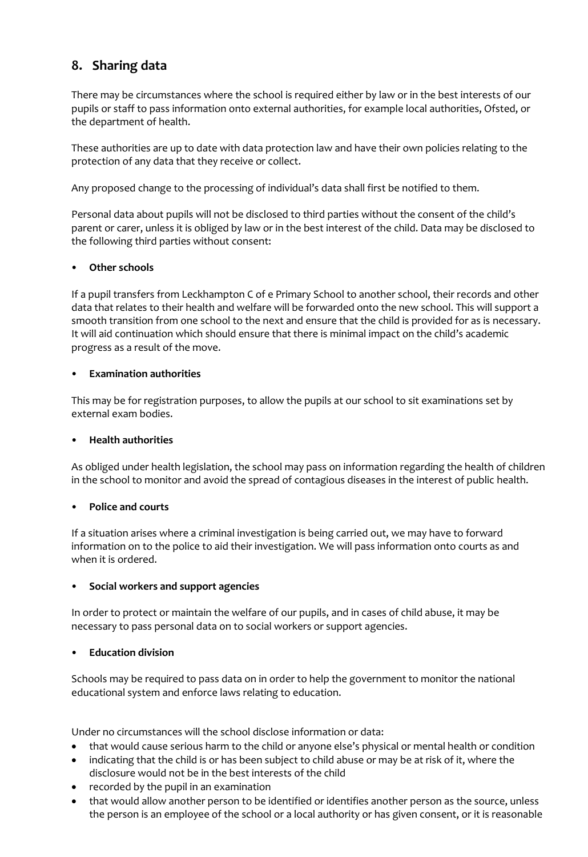# **8. Sharing data**

There may be circumstances where the school is required either by law or in the best interests of our pupils or staff to pass information onto external authorities, for example local authorities, Ofsted, or the department of health.

These authorities are up to date with data protection law and have their own policies relating to the protection of any data that they receive or collect.

Any proposed change to the processing of individual's data shall first be notified to them.

Personal data about pupils will not be disclosed to third parties without the consent of the child's parent or carer, unless it is obliged by law or in the best interest of the child. Data may be disclosed to the following third parties without consent:

#### • **Other schools**

If a pupil transfers from Leckhampton C of e Primary School to another school, their records and other data that relates to their health and welfare will be forwarded onto the new school. This will support a smooth transition from one school to the next and ensure that the child is provided for as is necessary. It will aid continuation which should ensure that there is minimal impact on the child's academic progress as a result of the move.

#### • **Examination authorities**

This may be for registration purposes, to allow the pupils at our school to sit examinations set by external exam bodies.

#### • **Health authorities**

As obliged under health legislation, the school may pass on information regarding the health of children in the school to monitor and avoid the spread of contagious diseases in the interest of public health.

#### • **Police and courts**

If a situation arises where a criminal investigation is being carried out, we may have to forward information on to the police to aid their investigation. We will pass information onto courts as and when it is ordered.

#### • **Social workers and support agencies**

In order to protect or maintain the welfare of our pupils, and in cases of child abuse, it may be necessary to pass personal data on to social workers or support agencies.

#### • **Education division**

Schools may be required to pass data on in order to help the government to monitor the national educational system and enforce laws relating to education.

Under no circumstances will the school disclose information or data:

- that would cause serious harm to the child or anyone else's physical or mental health or condition
- indicating that the child is or has been subject to child abuse or may be at risk of it, where the disclosure would not be in the best interests of the child
- recorded by the pupil in an examination
- that would allow another person to be identified or identifies another person as the source, unless the person is an employee of the school or a local authority or has given consent, or it is reasonable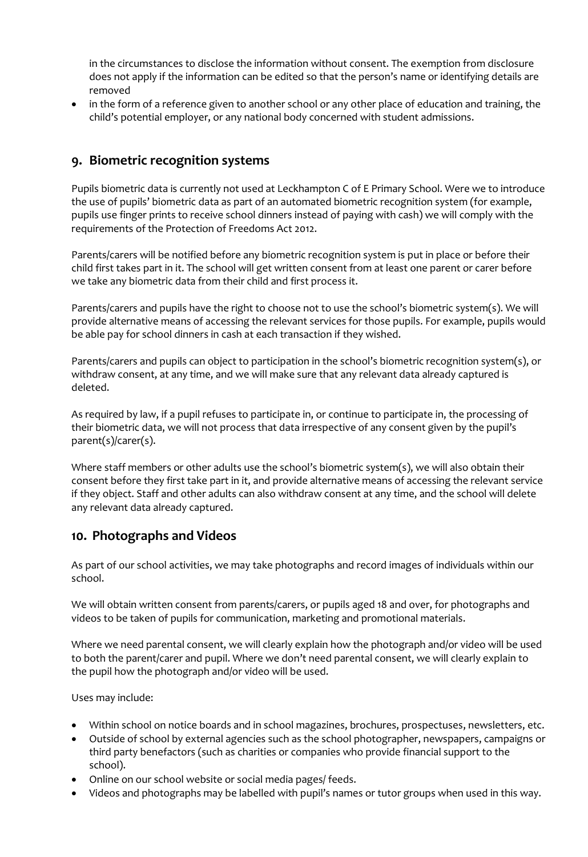in the circumstances to disclose the information without consent. The exemption from disclosure does not apply if the information can be edited so that the person's name or identifying details are removed

• in the form of a reference given to another school or any other place of education and training, the child's potential employer, or any national body concerned with student admissions.

### **9. Biometric recognition systems**

Pupils biometric data is currently not used at Leckhampton C of E Primary School. Were we to introduce the use of pupils' biometric data as part of an automated biometric recognition system (for example, pupils use finger prints to receive school dinners instead of paying with cash) we will comply with the requirements of the Protection of Freedoms Act 2012.

Parents/carers will be notified before any biometric recognition system is put in place or before their child first takes part in it. The school will get written consent from at least one parent or carer before we take any biometric data from their child and first process it.

Parents/carers and pupils have the right to choose not to use the school's biometric system(s). We will provide alternative means of accessing the relevant services for those pupils. For example, pupils would be able pay for school dinners in cash at each transaction if they wished.

Parents/carers and pupils can object to participation in the school's biometric recognition system(s), or withdraw consent, at any time, and we will make sure that any relevant data already captured is deleted.

As required by law, if a pupil refuses to participate in, or continue to participate in, the processing of their biometric data, we will not process that data irrespective of any consent given by the pupil's parent(s)/carer(s).

Where staff members or other adults use the school's biometric system(s), we will also obtain their consent before they first take part in it, and provide alternative means of accessing the relevant service if they object. Staff and other adults can also withdraw consent at any time, and the school will delete any relevant data already captured.

### **10. Photographs and Videos**

As part of our school activities, we may take photographs and record images of individuals within our school.

We will obtain written consent from parents/carers, or pupils aged 18 and over, for photographs and videos to be taken of pupils for communication, marketing and promotional materials.

Where we need parental consent, we will clearly explain how the photograph and/or video will be used to both the parent/carer and pupil. Where we don't need parental consent, we will clearly explain to the pupil how the photograph and/or video will be used.

Uses may include:

- Within school on notice boards and in school magazines, brochures, prospectuses, newsletters, etc.
- Outside of school by external agencies such as the school photographer, newspapers, campaigns or third party benefactors (such as charities or companies who provide financial support to the school).
- Online on our school website or social media pages/ feeds.
- Videos and photographs may be labelled with pupil's names or tutor groups when used in this way.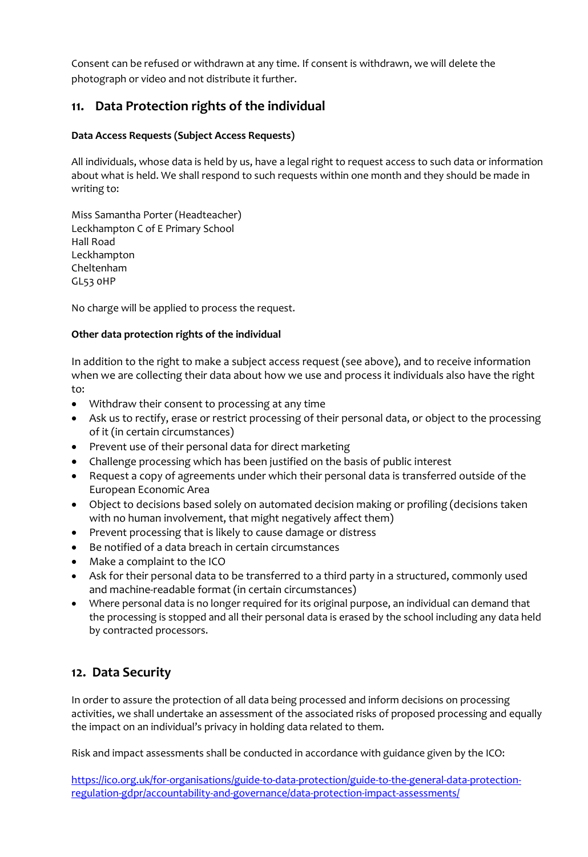Consent can be refused or withdrawn at any time. If consent is withdrawn, we will delete the photograph or video and not distribute it further.

### **11. Data Protection rights of the individual**

#### **Data Access Requests (Subject Access Requests)**

All individuals, whose data is held by us, have a legal right to request access to such data or information about what is held. We shall respond to such requests within one month and they should be made in writing to:

Miss Samantha Porter (Headteacher) Leckhampton C of E Primary School Hall Road Leckhampton Cheltenham GL53 0HP

No charge will be applied to process the request.

#### **Other data protection rights of the individual**

In addition to the right to make a subject access request (see above), and to receive information when we are collecting their data about how we use and process it individuals also have the right to:

- Withdraw their consent to processing at any time
- Ask us to rectify, erase or restrict processing of their personal data, or object to the processing of it (in certain circumstances)
- Prevent use of their personal data for direct marketing
- Challenge processing which has been justified on the basis of public interest
- Request a copy of agreements under which their personal data is transferred outside of the European Economic Area
- Object to decisions based solely on automated decision making or profiling (decisions taken with no human involvement, that might negatively affect them)
- Prevent processing that is likely to cause damage or distress
- Be notified of a data breach in certain circumstances
- Make a complaint to the ICO
- Ask for their personal data to be transferred to a third party in a structured, commonly used and machine-readable format (in certain circumstances)
- Where personal data is no longer required for its original purpose, an individual can demand that the processing is stopped and all their personal data is erased by the school including any data held by contracted processors.

### **12. Data Security**

In order to assure the protection of all data being processed and inform decisions on processing activities, we shall undertake an assessment of the associated risks of proposed processing and equally the impact on an individual's privacy in holding data related to them.

Risk and impact assessments shall be conducted in accordance with guidance given by the ICO:

[https://ico.org.uk/for-organisations/guide-to-data-protection/guide-to-the-general-data-protection](https://ico.org.uk/for-organisations/guide-to-data-protection/guide-to-the-general-data-protection-regulation-gdpr/accountability-and-governance/data-protection-impact-assessments/)[regulation-gdpr/accountability-and-governance/data-protection-impact-assessments/](https://ico.org.uk/for-organisations/guide-to-data-protection/guide-to-the-general-data-protection-regulation-gdpr/accountability-and-governance/data-protection-impact-assessments/)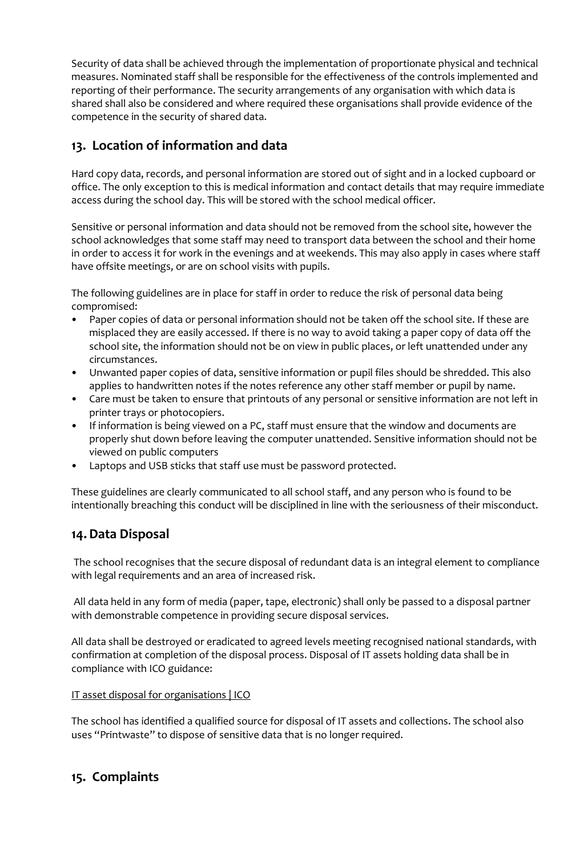Security of data shall be achieved through the implementation of proportionate physical and technical measures. Nominated staff shall be responsible for the effectiveness of the controls implemented and reporting of their performance. The security arrangements of any organisation with which data is shared shall also be considered and where required these organisations shall provide evidence of the competence in the security of shared data.

### **13. Location of information and data**

Hard copy data, records, and personal information are stored out of sight and in a locked cupboard or office. The only exception to this is medical information and contact details that may require immediate access during the school day. This will be stored with the school medical officer.

Sensitive or personal information and data should not be removed from the school site, however the school acknowledges that some staff may need to transport data between the school and their home in order to access it for work in the evenings and at weekends. This may also apply in cases where staff have offsite meetings, or are on school visits with pupils.

The following guidelines are in place for staff in order to reduce the risk of personal data being compromised:

- Paper copies of data or personal information should not be taken off the school site. If these are misplaced they are easily accessed. If there is no way to avoid taking a paper copy of data off the school site, the information should not be on view in public places, or left unattended under any circumstances.
- Unwanted paper copies of data, sensitive information or pupil files should be shredded. This also applies to handwritten notes if the notes reference any other staff member or pupil by name.
- Care must be taken to ensure that printouts of any personal or sensitive information are not left in printer trays or photocopiers.
- If information is being viewed on a PC, staff must ensure that the window and documents are properly shut down before leaving the computer unattended. Sensitive information should not be viewed on public computers
- Laptops and USB sticks that staff use must be password protected.

These guidelines are clearly communicated to all school staff, and any person who is found to be intentionally breaching this conduct will be disciplined in line with the seriousness of their misconduct.

### **14.Data Disposal**

The school recognises that the secure disposal of redundant data is an integral element to compliance with legal requirements and an area of increased risk.

All data held in any form of media (paper, tape, electronic) shall only be passed to a disposal partner with demonstrable competence in providing secure disposal services.

All data shall be destroyed or eradicated to agreed levels meeting recognised national standards, with confirmation at completion of the disposal process. Disposal of IT assets holding data shall be in compliance with ICO guidance:

### [IT asset disposal for organisations | ICO](https://ico.org.uk/media/for-organisations/documents/1570/it_asset_disposal_for_organisations.pdf)

The school has identified a qualified source for disposal of IT assets and collections. The school also uses "Printwaste" to dispose of sensitive data that is no longer required.

### **15. Complaints**